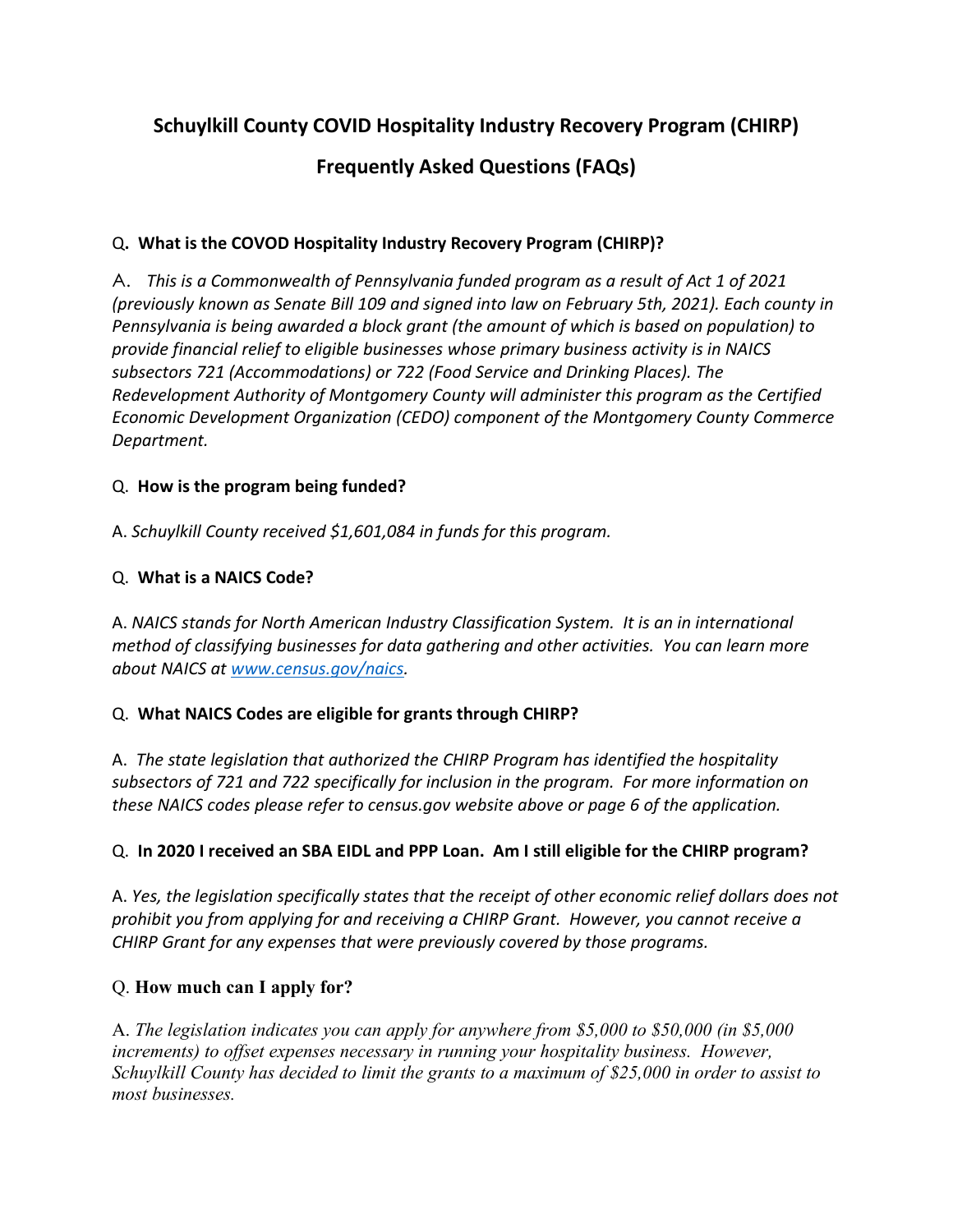# **Schuylkill County COVID Hospitality Industry Recovery Program (CHIRP)**

# **Frequently Asked Questions (FAQs)**

# Q**. What is the COVOD Hospitality Industry Recovery Program (CHIRP)?**

A. *This is a Commonwealth of Pennsylvania funded program as a result of Act 1 of 2021 (previously known as Senate Bill 109 and signed into law on February 5th, 2021). Each county in Pennsylvania is being awarded a block grant (the amount of which is based on population) to provide financial relief to eligible businesses whose primary business activity is in NAICS subsectors 721 (Accommodations) or 722 (Food Service and Drinking Places). The Redevelopment Authority of Montgomery County will administer this program as the Certified Economic Development Organization (CEDO) component of the Montgomery County Commerce Department.*

#### Q. **How is the program being funded?**

A. *Schuylkill County received \$1,601,084 in funds for this program.*

# Q. **What is a NAICS Code?**

A. *NAICS stands for North American Industry Classification System. It is an in international method of classifying businesses for data gathering and other activities. You can learn more about NAICS at [www.census.gov/naics.](http://www.census.gov/naics)*

#### Q. **What NAICS Codes are eligible for grants through CHIRP?**

A. *The state legislation that authorized the CHIRP Program has identified the hospitality subsectors of 721 and 722 specifically for inclusion in the program. For more information on these NAICS codes please refer to census.gov website above or page 6 of the application.*

#### Q. **In 2020 I received an SBA EIDL and PPP Loan. Am I still eligible for the CHIRP program?**

A. *Yes, the legislation specifically states that the receipt of other economic relief dollars does not prohibit you from applying for and receiving a CHIRP Grant. However, you cannot receive a CHIRP Grant for any expenses that were previously covered by those programs.* 

# Q. **How much can I apply for?**

A. *The legislation indicates you can apply for anywhere from \$5,000 to \$50,000 (in \$5,000*  increments) to offset expenses necessary in running your hospitality business. However, *Schuylkill County has decided to limit the grants to a maximum of \$25,000 in order to assist to most businesses.*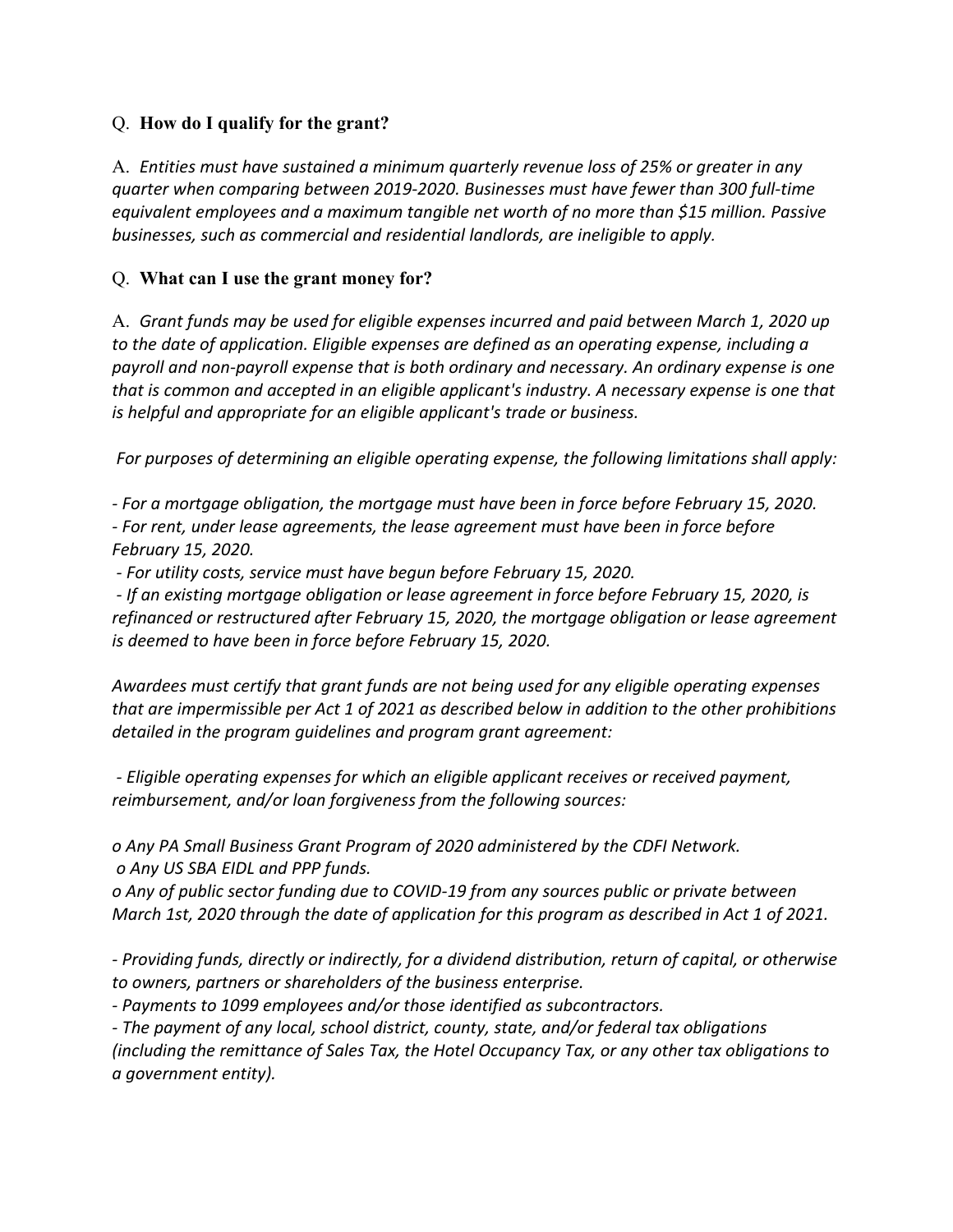#### Q. **How do I qualify for the grant?**

A. *Entities must have sustained a minimum quarterly revenue loss of 25% or greater in any quarter when comparing between 2019-2020. Businesses must have fewer than 300 full-time equivalent employees and a maximum tangible net worth of no more than \$15 million. Passive businesses, such as commercial and residential landlords, are ineligible to apply.*

#### Q. **What can I use the grant money for?**

A. *Grant funds may be used for eligible expenses incurred and paid between March 1, 2020 up to the date of application. Eligible expenses are defined as an operating expense, including a payroll and non-payroll expense that is both ordinary and necessary. An ordinary expense is one that is common and accepted in an eligible applicant's industry. A necessary expense is one that is helpful and appropriate for an eligible applicant's trade or business.*

*For purposes of determining an eligible operating expense, the following limitations shall apply:*

*- For a mortgage obligation, the mortgage must have been in force before February 15, 2020. - For rent, under lease agreements, the lease agreement must have been in force before February 15, 2020.*

*- For utility costs, service must have begun before February 15, 2020.*

*- If an existing mortgage obligation or lease agreement in force before February 15, 2020, is refinanced or restructured after February 15, 2020, the mortgage obligation or lease agreement is deemed to have been in force before February 15, 2020.*

*Awardees must certify that grant funds are not being used for any eligible operating expenses that are impermissible per Act 1 of 2021 as described below in addition to the other prohibitions detailed in the program guidelines and program grant agreement:*

*- Eligible operating expenses for which an eligible applicant receives or received payment, reimbursement, and/or loan forgiveness from the following sources:* 

*o Any PA Small Business Grant Program of 2020 administered by the CDFI Network. o Any US SBA EIDL and PPP funds.* 

*o Any of public sector funding due to COVID-19 from any sources public or private between March 1st, 2020 through the date of application for this program as described in Act 1 of 2021.* 

*- Providing funds, directly or indirectly, for a dividend distribution, return of capital, or otherwise to owners, partners or shareholders of the business enterprise.* 

*- Payments to 1099 employees and/or those identified as subcontractors.* 

*- The payment of any local, school district, county, state, and/or federal tax obligations* 

*(including the remittance of Sales Tax, the Hotel Occupancy Tax, or any other tax obligations to a government entity).*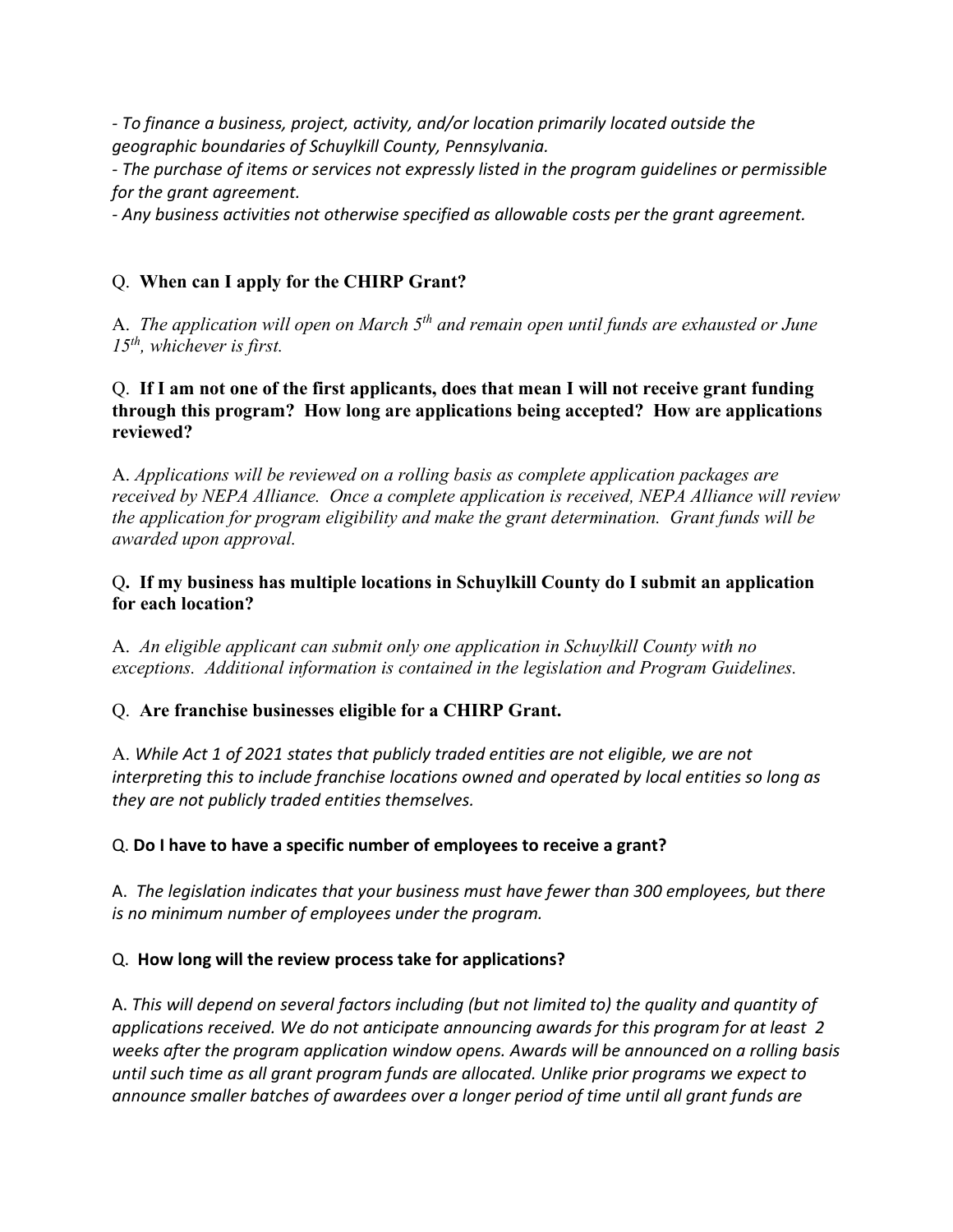*- To finance a business, project, activity, and/or location primarily located outside the geographic boundaries of Schuylkill County, Pennsylvania.* 

*- The purchase of items or services not expressly listed in the program guidelines or permissible for the grant agreement.* 

*- Any business activities not otherwise specified as allowable costs per the grant agreement.*

# Q. **When can I apply for the CHIRP Grant?**

A. *The application will open on March 5th and remain open until funds are exhausted or June 15th, whichever is first.*

#### Q. **If I am not one of the first applicants, does that mean I will not receive grant funding through this program? How long are applications being accepted? How are applications reviewed?**

A. *Applications will be reviewed on a rolling basis as complete application packages are received by NEPA Alliance. Once a complete application is received, NEPA Alliance will review the application for program eligibility and make the grant determination. Grant funds will be awarded upon approval.*

#### Q**. If my business has multiple locations in Schuylkill County do I submit an application for each location?**

A. *An eligible applicant can submit only one application in Schuylkill County with no exceptions. Additional information is contained in the legislation and Program Guidelines.*

# Q. **Are franchise businesses eligible for a CHIRP Grant.**

A. *While Act 1 of 2021 states that publicly traded entities are not eligible, we are not interpreting this to include franchise locations owned and operated by local entities so long as they are not publicly traded entities themselves.*

#### Q. **Do I have to have a specific number of employees to receive a grant?**

A. *The legislation indicates that your business must have fewer than 300 employees, but there is no minimum number of employees under the program.*

# Q. **How long will the review process take for applications?**

A. *This will depend on several factors including (but not limited to) the quality and quantity of applications received. We do not anticipate announcing awards for this program for at least 2 weeks after the program application window opens. Awards will be announced on a rolling basis until such time as all grant program funds are allocated. Unlike prior programs we expect to announce smaller batches of awardees over a longer period of time until all grant funds are*